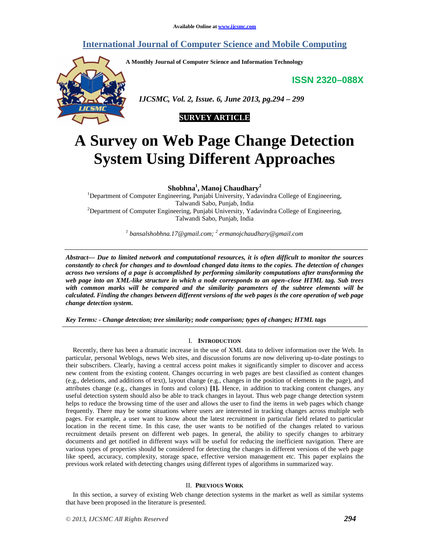# **International Journal of Computer Science and Mobile Computing**

**A Monthly Journal of Computer Science and Information Technology** 

**ISSN 2320–088X**



 *IJCSMC, Vol. 2, Issue. 6, June 2013, pg.294 – 299* 



# **A Survey on Web Page Change Detection System Using Different Approaches**

**Shobhna<sup>1</sup> , Manoj Chaudhary<sup>2</sup>**

<sup>1</sup>Department of Computer Engineering, Punjabi University, Yadavindra College of Engineering, Talwandi Sabo, Punjab, India <sup>2</sup>Department of Computer Engineering, Punjabi University, Yadavindra College of Engineering, Talwandi Sabo, Punjab, India

*1 bansalshobhna.17@gmail.com; <sup>2</sup> ermanojchaudhary@gmail.com* 

*Abstract— Due to limited network and computational resources, it is often difficult to monitor the sources constantly to check for changes and to download changed data items to the copies. The detection of changes across two versions of a page is accomplished by performing similarity computations after transforming the web page into an XML-like structure in which a node corresponds to an open–close HTML tag. Sub trees with common marks will be compared and the similarity parameters of the subtree elements will be calculated. Finding the changes between different versions of the web pages is the core operation of web page change detection system.* 

*Key Terms: - Change detection; tree similarity; node comparison; types of changes; HTML tags* 

## I. **INTRODUCTION**

Recently, there has been a dramatic increase in the use of XML data to deliver information over the Web. In particular, personal Weblogs, news Web sites, and discussion forums are now delivering up-to-date postings to their subscribers. Clearly, having a central access point makes it significantly simpler to discover and access new content from the existing content. Changes occurring in web pages are best classified as content changes (e.g., deletions, and additions of text), layout change (e.g., changes in the position of elements in the page), and attributes change (e.g., changes in fonts and colors) **[1].** Hence, in addition to tracking content changes, any useful detection system should also be able to track changes in layout. Thus web page change detection system helps to reduce the browsing time of the user and allows the user to find the items in web pages which change frequently. There may be some situations where users are interested in tracking changes across multiple web pages. For example, a user want to know about the latest recruitment in particular field related to particular location in the recent time. In this case, the user wants to be notified of the changes related to various recruitment details present on different web pages. In general, the ability to specify changes to arbitrary documents and get notified in different ways will be useful for reducing the inefficient navigation. There are various types of properties should be considered for detecting the changes in different versions of the web page like speed, accuracy, complexity, storage space, effective version management etc. This paper explains the previous work related with detecting changes using different types of algorithms in summarized way.

#### II. **PREVIOUS WORK**

In this section, a survey of existing Web change detection systems in the market as well as similar systems that have been proposed in the literature is presented.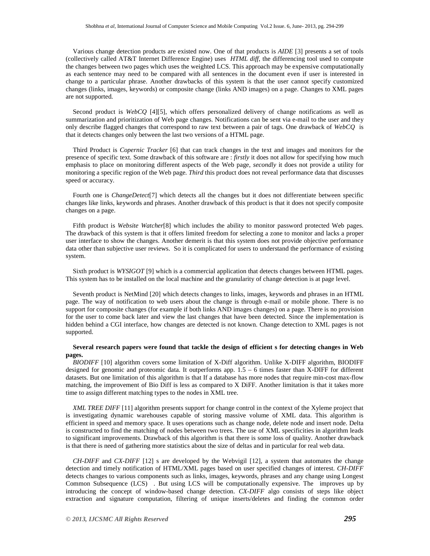Various change detection products are existed now. One of that products is *AIDE* [3] presents a set of tools (collectively called AT&T Internet Difference Engine) uses *HTML diff*, the differencing tool used to compute the changes between two pages which uses the weighted LCS. This approach may be expensive computationally as each sentence may need to be compared with all sentences in the document even if user is interested in change to a particular phrase. Another drawbacks of this system is that the user cannot specify customized changes (links, images, keywords) or composite change (links AND images) on a page. Changes to XML pages are not supported.

Second product is *WebCQ* [4][5], which offers personalized delivery of change notifications as well as summarization and prioritization of Web page changes. Notifications can be sent via e-mail to the user and they only describe flagged changes that correspond to raw text between a pair of tags. One drawback of *WebCQ* is that it detects changes only between the last two versions of a HTML page.

Third Product is *Copernic Tracker* [6] that can track changes in the text and images and monitors for the presence of specific text. Some drawback of this software are : *firstly* it does not allow for specifying how much emphasis to place on monitoring different aspects of the Web page, *secondly* it does not provide a utility for monitoring a specific region of the Web page. *Third* this product does not reveal performance data that discusses speed or accuracy.

Fourth one is *ChangeDetect*[7] which detects all the changes but it does not differentiate between specific changes like links, keywords and phrases. Another drawback of this product is that it does not specify composite changes on a page.

Fifth product is *Website Watcher*[8] which includes the ability to monitor password protected Web pages. The drawback of this system is that it offers limited freedom for selecting a zone to monitor and lacks a proper user interface to show the changes. Another demerit is that this system does not provide objective performance data other than subjective user reviews. So it is complicated for users to understand the performance of existing system.

Sixth product is *WYSIGOT* [9] which is a commercial application that detects changes between HTML pages. This system has to be installed on the local machine and the granularity of change detection is at page level.

Seventh product is NetMind [20] which detects changes to links, images, keywords and phrases in an HTML page. The way of notification to web users about the change is through e-mail or mobile phone. There is no support for composite changes (for example if both links AND images changes) on a page. There is no provision for the user to come back later and view the last changes that have been detected. Since the implementation is hidden behind a CGI interface, how changes are detected is not known. Change detection to XML pages is not supported.

#### **Several research papers were found that tackle the design of efficient s for detecting changes in Web pages.**

*BIODIFF* [10] algorithm covers some limitation of X-Diff algorithm. Unlike X-DIFF algorithm, BIODIFF designed for genomic and proteomic data. It outperforms app. 1.5 – 6 times faster than X-DIFF for different datasets. But one limitation of this algorithm is that If a database has more nodes that require min-cost max-flow matching, the improvement of Bio Diff is less as compared to X DiFF. Another limitation is that it takes more time to assign different matching types to the nodes in XML tree.

*XML TREE DIFF* [11] algorithm presents support for change control in the context of the Xyleme project that is investigating dynamic warehouses capable of storing massive volume of XML data. This algorithm is efficient in speed and memory space. It uses operations such as change node, delete node and insert node. Delta is constructed to find the matching of nodes between two trees. The use of XML specificities in algorithm leads to significant improvements. Drawback of this algorithm is that there is some loss of quality. Another drawback is that there is need of gathering more statistics about the size of deltas and in particular for real web data.

*CH-DIFF* and *CX-DIFF* [12] s are developed by the Webvigil [12], a system that automates the change detection and timely notification of HTML/XML pages based on user specified changes of interest. *CH-DIFF* detects changes to various components such as links, images, keywords, phrases and any change using Longest Common Subsequence (LCS) . But using LCS will be computationally expensive. The improves up by introducing the concept of window-based change detection. *CX-DIFF* algo consists of steps like object extraction and signature computation, filtering of unique inserts/deletes and finding the common order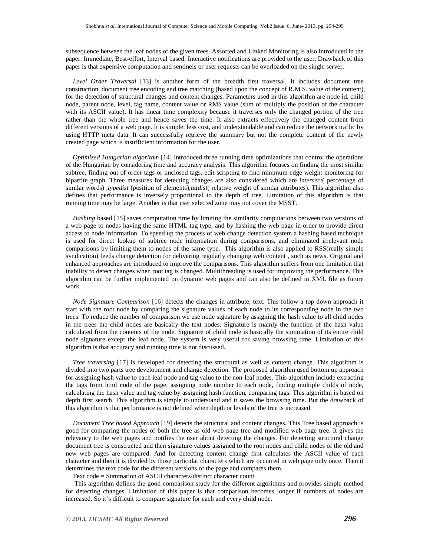subsequence between the leaf nodes of the given trees. Assorted and Linked Monitoring is also introduced in the paper. Immediate, Best-effort, Interval based, Interactive notifications are provided to the user. Drawback of this paper is that expensive computation and sentinels or user requests can be overloaded on the single server.

*Level Order Traversal* [13] is another form of the breadth first traversal. It includes document tree construction, document tree encoding and tree matching (based upon the concept of R.M.S. value of the content), for the detection of structural changes and content changes. Parameters used in this algorithm are node id, child node, parent node, level, tag name, content value or RMS value (sum of multiply the position of the character with its ASCII value). It has linear time complexity because it traverses only the changed portion of the tree rather than the whole tree and hence saves the time. It also extracts effectively the changed content from different versions of a web page. It is simple, less cost, and understandable and can reduce the network traffic by using HTTP meta data. It can successfully retrieve the summary but not the complete content of the newly created page which is insufficient information for the user.

*Optimized Hungarian algorithm* [14] introduced three running time optimizations that control the operations of the Hungarian by considering time and accuracy analysis. This algorithm focuses on finding the most similar subtree, finding out of order tags or unclosed tags, edit scripting to find minimum edge weight monitoring for bipartite graph. Three measures for detecting changes are also considered which are *intersect*( percentage of similar words) *,typedist* (position of elements)*,attdist*( relative weight of similar attributes). This algorithm also defines that performance is inversely proportional to the depth of tree. Limitation of this algorithm is that running time may be large. Another is that user selected zone may not cover the MSST.

*Hashing* based [15] saves computation time by limiting the similarity computations between two versions of a web page to nodes having the same HTML tag type, and by hashing the web page in order to provide direct access to node information. To speed up the process of web change detection system a hashing based technique is used for direct lookup of subtree node information during comparisons, and eliminated irrelevant node comparisons by limiting them to nodes of the same type. This algorithm is also applied to RSS(really simple syndication) feeds change detection for delivering regularly changing web content , such as news. Original and enhanced approaches are introduced to improve the comparisons. This algorithm suffers from one limitation that inability to detect changes when root tag is changed. Multithreading is used for improving the performance. This algorithm can be further implemented on dynamic web pages and can also be defined in XML file as future work.

*Node Signature Comparison* [16] detects the changes in attribute, text. This follow a top down approach it start with the root node by comparing the signature values of each node to its corresponding node in the two trees. To reduce the number of comparison we use node signature by assigning the hash value to all child nodes in the trees the child nodes are basically the text nodes. Signature is mainly the function of the hash value calculated from the contents of the node. Signature of child node is basically the summation of its entire child node signature except the leaf node. The system is very useful for saving browsing time. Limitation of this algorithm is that accuracy and running time is not discussed.

*Tree traversing* [17] is developed for detecting the structural as well as content change. This algorithm is divided into two parts tree development and change detection. The proposed algorithm used bottom up approach for assigning hash value to each leaf node and tag value to the non-leaf nodes. This algorithm include extracting the tags from html code of the page, assigning node number to each node, finding multiple childs of node, calculating the hash value and tag value by assigning hash function, comparing tags. This algorithm is based on depth first search. This algorithm is simple to understand and it saves the browsing time. But the drawback of this algorithm is that performance is not defined when depth or levels of the tree is increased.

*Document Tree based Approach* [19] detects the structural and content changes. This Tree based approach is good for comparing the nodes of both the tree as old web page tree and modified web page tree. It gives the relevancy to the web pages and notifies the user about detecting the changes. For detecting structural change document tree is constructed and then signature values assigned to the root nodes and child nodes of the old and new web pages are compared. And for detecting content change first calculates the ASCII value of each character and then it is divided by those particular characters which are occurred in web page only once. Then it determines the text code for the different versions of the page and compares them.

Text code = Summation of ASCII characters/distinct character count

 This algorithm defines the good comparison study for the different algorithms and provides simple method for detecting changes. Limitation of this paper is that comparison becomes longer if numbers of nodes are increased. So it's difficult to compare signature for each and every child node.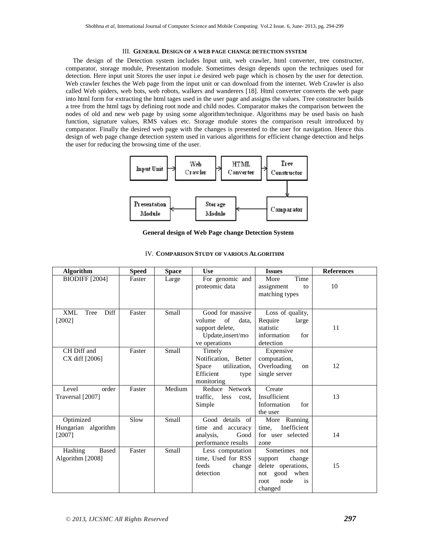#### III. GENERAL DESIGN OF A WEB PAGE CHANGE DETECTION SYSTEM

The design of the Detection system includes Input unit, web crawler, html converter, tree constructer, comparator, storage module, Presentation module. Sometimes design depends upon the techniques used for detection. Here input unit Stores the user input i.e desired web page which is chosen by the user for detection. Web crawler fetches the Web page from the input unit or can download from the internet. Web Crawler is also called Web spiders, web bots, web robots, walkers and wanderers [18]. Html converter converts the web page into html form for extracting the html tages used in the user page and assigns the values. Tree constructer builds a tree from the html tags by defining root node and child nodes. Comparator makes the comparison between the nodes of old and new web page by using some algorithm/technique. Algorithms may be used basis on hash function, signature values, RMS values etc. Storage module stores the comparison result introduced by comparator. Finally the desired web page with the changes is presented to the user for navigation. Hence this design of web page change detection system used in various algorithms for efficient change detection and helps the user for reducing the browsing time of the user.



**General design of Web Page change Detection System**

| <b>Algorithm</b>                             | <b>Speed</b> | <b>Space</b> | Use                                                                                                | <b>Issues</b>                                                                                              | <b>References</b> |
|----------------------------------------------|--------------|--------------|----------------------------------------------------------------------------------------------------|------------------------------------------------------------------------------------------------------------|-------------------|
| <b>BIODIFF</b> [2004]                        | Faster       | Large        | For genomic and<br>proteomic data                                                                  | More<br>Time<br>assignment<br>to<br>matching types                                                         | 10                |
| Diff<br><b>XML</b><br>Tree<br>$[2002]$       | Faster       | <b>Small</b> | Good for massive<br>of<br>volume<br>data,<br>support delete,<br>Update, insert/mo<br>ve operations | Loss of quality,<br>Require<br>large<br>statistic<br>information<br>for<br>detection                       | 11                |
| CH Diff and<br>CX diff [2006]                | Faster       | <b>Small</b> | Timely<br>Notification, Better<br>utilization,<br>Space<br>Efficient<br>type<br>monitoring         | Expensive<br>computation,<br>Overloading<br>on<br>single server                                            | 12                |
| Level<br>order<br>Traversal [2007]           | Faster       | Medium       | Reduce Network<br>traffic,<br>less<br>cost.<br>Simple                                              | Create<br>Insufficient<br>Information<br>for<br>the user                                                   | 13                |
| Optimized<br>Hungarian algorithm<br>$[2007]$ | Slow         | <b>Small</b> | Good details of<br>time and accuracy<br>analysis,<br>Good<br>performance results                   | More Running<br>Inefficient<br>time.<br>for user selected<br>zone                                          | 14                |
| Hashing<br><b>Based</b><br>Algorithm [2008]  | Faster       | <b>Small</b> | Less computation<br>time, Used for RSS<br>feeds<br>change<br>detection                             | Sometimes not<br>support<br>change<br>delete operations,<br>not good when<br>node<br>root<br>is<br>changed | 15                |

## IV. **COMPARISON STUDY OF VARIOUS ALGORITHM**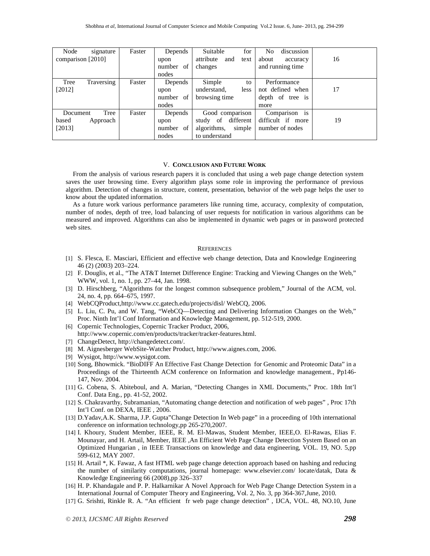| Node<br>signature  | Faster | Depends   | Suitable<br>for          | N <sub>0</sub><br>discussion |    |
|--------------------|--------|-----------|--------------------------|------------------------------|----|
| comparison [2010]  |        | upon      | attribute<br>and<br>text | about<br>accuracy            | 16 |
|                    |        | number of | changes                  | and running time             |    |
|                    |        | nodes     |                          |                              |    |
| Traversing<br>Tree | Faster | Depends   | Simple<br>to             | Performance                  |    |
| $[2012]$           |        | upon      | understand,<br>less      | not defined when             | 17 |
|                    |        | number of | browsing time            | depth of tree is             |    |
|                    |        | nodes     |                          | more                         |    |
| Tree<br>Document   | Faster | Depends   | Good comparison          | is<br>Comparison             |    |
| Approach<br>based  |        | upon      | different<br>study of    | difficult if more            | 19 |
| [2013]             |        | number of | simple<br>algorithms,    | number of nodes              |    |
|                    |        | nodes     | to understand            |                              |    |

#### V. **CONCLUSION AND FUTURE WORK**

From the analysis of various research papers it is concluded that using a web page change detection system saves the user browsing time. Every algorithm plays some role in improving the performance of previous algorithm. Detection of changes in structure, content, presentation, behavior of the web page helps the user to know about the updated information.

As a future work various performance parameters like running time, accuracy, complexity of computation, number of nodes, depth of tree, load balancing of user requests for notification in various algorithms can be measured and improved. Algorithms can also be implemented in dynamic web pages or in password protected web sites.

#### **REFERENCES**

- [1] S. Flesca, E. Masciari, Efficient and effective web change detection, Data and Knowledge Engineering 46 (2) (2003) 203–224.
- [2] F. Douglis, et al., "The AT&T Internet Difference Engine: Tracking and Viewing Changes on the Web," WWW, vol. 1, no. 1, pp. 27–44, Jan. 1998.
- [3] D. Hirschberg, "Algorithms for the longest common subsequence problem," Journal of the ACM, vol. 24, no. 4, pp. 664–675, 1997.
- [4] WebCQProduct,http://www.cc.gatech.edu/projects/disl/WebCQ, 2006.
- [5] L. Liu, C. Pu, and W. Tang, "WebCQ—Detecting and Delivering Information Changes on the Web," Proc. Ninth Int'l Conf Information and Knowledge Management, pp. 512-519, 2000.
- [6] Copernic Technologies, Copernic Tracker Product, 2006, http://www.copernic.com/en/products/tracker/tracker-features.html.
- [7] ChangeDetect, http://changedetect.com/.
- [8] M. Aignesberger WebSite-Watcher Product, http://www.aignes.com, 2006.
- [9] Wysigot, http://www.wysigot.com.
- [10] Song, Bhowmick. "BioDIFF An Effective Fast Change Detection for Genomic and Proteomic Data" in a Proceedings of the Thirteenth ACM conference on Information and knowledge management., Pp146- 147, Nov. 2004.
- [11] G. Cobena, S. Abiteboul, and A. Marian, "Detecting Changes in XML Documents," Proc. 18th Int'l Conf. Data Eng., pp. 41-52, 2002.
- [12] S. Chakravarthy, Subramanian, "Automating change detection and notification of web pages" , Proc 17th Int'l Conf. on DEXA, IEEE , 2006.
- [13] D.Yadav,A.K. Sharma, J.P. Gupta"Change Detection In Web page" in a proceeding of 10th international conference on information technology,pp 265-270,2007.
- [14] I. Khoury, Student Member, IEEE, R. M. El-Mawas, Student Member, IEEE,O. El-Rawas, Elias F. Mounayar, and H. Artail, Member, IEEE ,An Efficient Web Page Change Detection System Based on an Optimized Hungarian , in IEEE Transactions on knowledge and data engineering, VOL. 19, NO. 5,pp 599-612, MAY 2007.
- [15] H. Artail \*, K. Fawaz, A fast HTML web page change detection approach based on hashing and reducing the number of similarity computations, journal homepage: www.elsevier.com/ locate/datak, Data & Knowledge Engineering 66 (2008),pp 326–337
- [16] H. P. Khandagale and P. P. Halkarnikar A Novel Approach for Web Page Change Detection System in a International Journal of Computer Theory and Engineering, Vol. 2, No. 3, pp 364-367,June, 2010.
- [17] G. Srishti, Rinkle R. A. "An efficient fr web page change detection" , IJCA, VOL. 48, NO.10, June